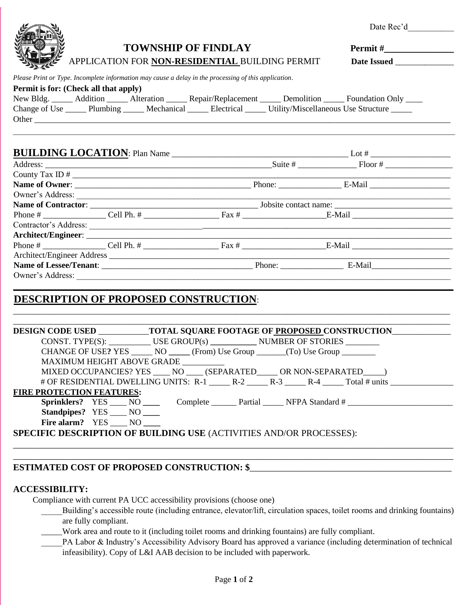| <b>TOWNSHIP OF FINDLAY</b><br>APPLICATION FOR NON-RESIDENTIAL BUILDING PERMIT<br>Please Print or Type. Incomplete information may cause a delay in the processing of this application.<br>Permit is for: (Check all that apply)<br>New Bldg. _____ Addition _____ Alteration _____ Repair/Replacement _____ Demolition _____ Foundation Only ____<br>Change of Use ______ Plumbing ______ Mechanical ______ Electrical ______ Utility/Miscellaneous Use Structure ______<br><b>BUILDING LOCATION</b> : Plan Name<br><b>DESCRIPTION OF PROPOSED CONSTRUCTION:</b><br>DESIGN CODE USED _____________TOTAL SQUARE FOOTAGE OF PROPOSED CONSTRUCTION___________<br>CONST. TYPE(S): USE GROUP(s) NUMBER OF STORIES<br>CHANGE OF USE? YES _______ NO ______ (From) Use Group _______ (To) Use Group ________<br>MAXIMUM HEIGHT ABOVE GRADE _________<br>MIXED OCCUPANCIES? YES ____ NO ____ (SEPARATED ____ OR NON-SEPARATED ____ )<br># OF RESIDENTIAL DWELLING UNITS: R-1 _____ R-2 _____ R-3 _____ R-4 _____ Total # units _____________<br><b>FIRE PROTECTION FEATURES:</b><br>Sprinklers? YES ____ NO _____ Complete ______ Partial _____ NFPA Standard # ____________<br><b>Standpipes?</b> YES NO<br>Fire alarm? YES ____ NO<br><b>SPECIFIC DESCRIPTION OF BUILDING USE (ACTIVITIES AND/OR PROCESSES):</b> |  |  | Date Rec'd                                                  |
|------------------------------------------------------------------------------------------------------------------------------------------------------------------------------------------------------------------------------------------------------------------------------------------------------------------------------------------------------------------------------------------------------------------------------------------------------------------------------------------------------------------------------------------------------------------------------------------------------------------------------------------------------------------------------------------------------------------------------------------------------------------------------------------------------------------------------------------------------------------------------------------------------------------------------------------------------------------------------------------------------------------------------------------------------------------------------------------------------------------------------------------------------------------------------------------------------------------------------------------------------------------------------------------------------------|--|--|-------------------------------------------------------------|
|                                                                                                                                                                                                                                                                                                                                                                                                                                                                                                                                                                                                                                                                                                                                                                                                                                                                                                                                                                                                                                                                                                                                                                                                                                                                                                            |  |  |                                                             |
|                                                                                                                                                                                                                                                                                                                                                                                                                                                                                                                                                                                                                                                                                                                                                                                                                                                                                                                                                                                                                                                                                                                                                                                                                                                                                                            |  |  |                                                             |
|                                                                                                                                                                                                                                                                                                                                                                                                                                                                                                                                                                                                                                                                                                                                                                                                                                                                                                                                                                                                                                                                                                                                                                                                                                                                                                            |  |  |                                                             |
|                                                                                                                                                                                                                                                                                                                                                                                                                                                                                                                                                                                                                                                                                                                                                                                                                                                                                                                                                                                                                                                                                                                                                                                                                                                                                                            |  |  |                                                             |
|                                                                                                                                                                                                                                                                                                                                                                                                                                                                                                                                                                                                                                                                                                                                                                                                                                                                                                                                                                                                                                                                                                                                                                                                                                                                                                            |  |  |                                                             |
|                                                                                                                                                                                                                                                                                                                                                                                                                                                                                                                                                                                                                                                                                                                                                                                                                                                                                                                                                                                                                                                                                                                                                                                                                                                                                                            |  |  |                                                             |
|                                                                                                                                                                                                                                                                                                                                                                                                                                                                                                                                                                                                                                                                                                                                                                                                                                                                                                                                                                                                                                                                                                                                                                                                                                                                                                            |  |  |                                                             |
|                                                                                                                                                                                                                                                                                                                                                                                                                                                                                                                                                                                                                                                                                                                                                                                                                                                                                                                                                                                                                                                                                                                                                                                                                                                                                                            |  |  |                                                             |
|                                                                                                                                                                                                                                                                                                                                                                                                                                                                                                                                                                                                                                                                                                                                                                                                                                                                                                                                                                                                                                                                                                                                                                                                                                                                                                            |  |  |                                                             |
|                                                                                                                                                                                                                                                                                                                                                                                                                                                                                                                                                                                                                                                                                                                                                                                                                                                                                                                                                                                                                                                                                                                                                                                                                                                                                                            |  |  |                                                             |
|                                                                                                                                                                                                                                                                                                                                                                                                                                                                                                                                                                                                                                                                                                                                                                                                                                                                                                                                                                                                                                                                                                                                                                                                                                                                                                            |  |  |                                                             |
|                                                                                                                                                                                                                                                                                                                                                                                                                                                                                                                                                                                                                                                                                                                                                                                                                                                                                                                                                                                                                                                                                                                                                                                                                                                                                                            |  |  | <u> 1989 - Johann Stoff, amerikansk politiker (d. 1989)</u> |
|                                                                                                                                                                                                                                                                                                                                                                                                                                                                                                                                                                                                                                                                                                                                                                                                                                                                                                                                                                                                                                                                                                                                                                                                                                                                                                            |  |  |                                                             |
|                                                                                                                                                                                                                                                                                                                                                                                                                                                                                                                                                                                                                                                                                                                                                                                                                                                                                                                                                                                                                                                                                                                                                                                                                                                                                                            |  |  |                                                             |
|                                                                                                                                                                                                                                                                                                                                                                                                                                                                                                                                                                                                                                                                                                                                                                                                                                                                                                                                                                                                                                                                                                                                                                                                                                                                                                            |  |  |                                                             |
|                                                                                                                                                                                                                                                                                                                                                                                                                                                                                                                                                                                                                                                                                                                                                                                                                                                                                                                                                                                                                                                                                                                                                                                                                                                                                                            |  |  |                                                             |
|                                                                                                                                                                                                                                                                                                                                                                                                                                                                                                                                                                                                                                                                                                                                                                                                                                                                                                                                                                                                                                                                                                                                                                                                                                                                                                            |  |  |                                                             |
|                                                                                                                                                                                                                                                                                                                                                                                                                                                                                                                                                                                                                                                                                                                                                                                                                                                                                                                                                                                                                                                                                                                                                                                                                                                                                                            |  |  |                                                             |
|                                                                                                                                                                                                                                                                                                                                                                                                                                                                                                                                                                                                                                                                                                                                                                                                                                                                                                                                                                                                                                                                                                                                                                                                                                                                                                            |  |  |                                                             |
|                                                                                                                                                                                                                                                                                                                                                                                                                                                                                                                                                                                                                                                                                                                                                                                                                                                                                                                                                                                                                                                                                                                                                                                                                                                                                                            |  |  |                                                             |
|                                                                                                                                                                                                                                                                                                                                                                                                                                                                                                                                                                                                                                                                                                                                                                                                                                                                                                                                                                                                                                                                                                                                                                                                                                                                                                            |  |  |                                                             |
|                                                                                                                                                                                                                                                                                                                                                                                                                                                                                                                                                                                                                                                                                                                                                                                                                                                                                                                                                                                                                                                                                                                                                                                                                                                                                                            |  |  |                                                             |
|                                                                                                                                                                                                                                                                                                                                                                                                                                                                                                                                                                                                                                                                                                                                                                                                                                                                                                                                                                                                                                                                                                                                                                                                                                                                                                            |  |  |                                                             |
|                                                                                                                                                                                                                                                                                                                                                                                                                                                                                                                                                                                                                                                                                                                                                                                                                                                                                                                                                                                                                                                                                                                                                                                                                                                                                                            |  |  |                                                             |
|                                                                                                                                                                                                                                                                                                                                                                                                                                                                                                                                                                                                                                                                                                                                                                                                                                                                                                                                                                                                                                                                                                                                                                                                                                                                                                            |  |  |                                                             |
|                                                                                                                                                                                                                                                                                                                                                                                                                                                                                                                                                                                                                                                                                                                                                                                                                                                                                                                                                                                                                                                                                                                                                                                                                                                                                                            |  |  |                                                             |
|                                                                                                                                                                                                                                                                                                                                                                                                                                                                                                                                                                                                                                                                                                                                                                                                                                                                                                                                                                                                                                                                                                                                                                                                                                                                                                            |  |  |                                                             |
|                                                                                                                                                                                                                                                                                                                                                                                                                                                                                                                                                                                                                                                                                                                                                                                                                                                                                                                                                                                                                                                                                                                                                                                                                                                                                                            |  |  |                                                             |
|                                                                                                                                                                                                                                                                                                                                                                                                                                                                                                                                                                                                                                                                                                                                                                                                                                                                                                                                                                                                                                                                                                                                                                                                                                                                                                            |  |  |                                                             |

## **ESTIMATED COST OF PROPOSED CONSTRUCTION: \$\_**

## **ACCESSIBILITY:**

Compliance with current PA UCC accessibility provisions (choose one)

- \_\_\_\_\_Building's accessible route (including entrance, elevator/lift, circulation spaces, toilet rooms and drinking fountains) are fully compliant.
- \_\_\_\_\_Work area and route to it (including toilet rooms and drinking fountains) are fully compliant.
- PA Labor & Industry's Accessibility Advisory Board has approved a variance (including determination of technical infeasibility). Copy of L&I AAB decision to be included with paperwork.